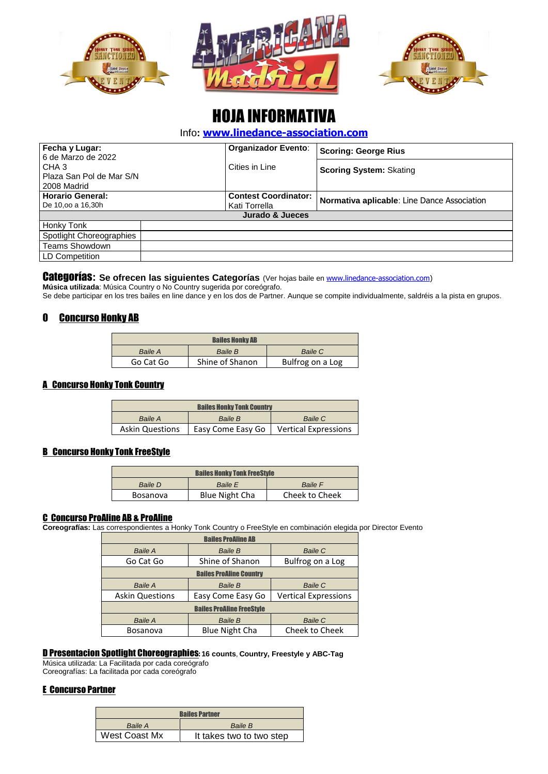





# HOJA INFORMATIVA

Info**: [www.linedance-association.com](http://www.linedance-association.com/)**

| Fecha y Lugar:<br>6 de Marzo de 2022<br>CHA <sub>3</sub><br>l Plaza San Pol de Mar S/N<br>2008 Madrid |  | <b>Organizador Evento:</b><br>Cities in Line | <b>Scoring: George Rius</b>                 |  |
|-------------------------------------------------------------------------------------------------------|--|----------------------------------------------|---------------------------------------------|--|
|                                                                                                       |  |                                              | <b>Scoring System: Skating</b>              |  |
| Horario General:<br>De 10.00 a 16.30h                                                                 |  | <b>Contest Coordinator:</b><br>Kati Torrella | Normativa aplicable: Line Dance Association |  |
|                                                                                                       |  | Jurado & Jueces                              |                                             |  |
| Honky Tonk                                                                                            |  |                                              |                                             |  |
| Spotlight Choreographies                                                                              |  |                                              |                                             |  |
| <b>Teams Showdown</b>                                                                                 |  |                                              |                                             |  |
| LD Competition                                                                                        |  |                                              |                                             |  |

# Categorías: Se ofrecen las siguientes Categorías (Ver hojas baile en [www.linedance-association.com\)](http://www.linedance-spain.com/)

**Música utilizada**: Música Country o No Country sugerida por coreógrafo.

Se debe participar en los tres bailes en line dance y en los dos de Partner. Aunque se compite individualmente, saldréis a la pista en grupos.

# 0 Concurso Honky AB

| <b>Bailes Honky AB</b> |                 |                  |  |
|------------------------|-----------------|------------------|--|
| Baile A                | Baile B         | Baile C          |  |
| Go Cat Go              | Shine of Shanon | Bulfrog on a Log |  |

#### **A** Concurso Honky Tonk Country

| <b>Bailes Honky Tonk Country</b> |                   |                             |  |
|----------------------------------|-------------------|-----------------------------|--|
| <b>Baile A</b>                   | <b>Baile B</b>    | <b>Baile C</b>              |  |
| <b>Askin Questions</b>           | Easy Come Easy Go | <b>Vertical Expressions</b> |  |

#### B Concurso Honky Tonk FreeStyle

| <b>Bailes Honky Tonk FreeStyle</b> |                       |                |  |
|------------------------------------|-----------------------|----------------|--|
| Baile D                            | <b>Baile E</b>        | <b>Baile F</b> |  |
| Bosanova                           | <b>Blue Night Cha</b> | Cheek to Cheek |  |

#### C Concurso ProAline AB & ProAline

**Coreografías:** Las correspondientes a Honky Tonk Country o FreeStyle en combinación elegida por Director Evento

| <b>Bailes ProAline AB</b>        |                       |                             |  |
|----------------------------------|-----------------------|-----------------------------|--|
| Baile A                          | Baile B               | <b>Baile C</b>              |  |
| Go Cat Go                        | Shine of Shanon       | Bulfrog on a Log            |  |
| <b>Bailes ProAline Country</b>   |                       |                             |  |
| Baile A                          | <b>Baile B</b>        | <b>Baile C</b>              |  |
| <b>Askin Questions</b>           | Easy Come Easy Go     | <b>Vertical Expressions</b> |  |
| <b>Bailes ProAline FreeStyle</b> |                       |                             |  |
| <b>Baile A</b>                   | <b>Baile B</b>        | <b>Baile C</b>              |  |
| <b>Bosanova</b>                  | <b>Blue Night Cha</b> | <b>Cheek to Cheek</b>       |  |

#### D Presentacion Spotlight Choreographies: **16 counts**, **Country, Freestyle y ABC-Tag**

Música utilizada: La Facilitada por cada coreógrafo Coreografías: La facilitada por cada coreógrafo

## E Concurso Partner

| <b>Bailes Partner</b> |                          |  |
|-----------------------|--------------------------|--|
| Baile A               | <b>Baile B</b>           |  |
| West Coast Mx         | It takes two to two step |  |